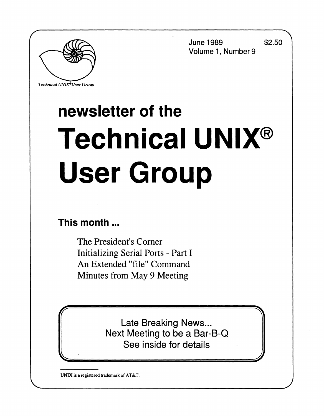**June 1989 \$2.50 Volume 1, Number 9** 

**J** 



*Technical UNlX\*User Group* 

# **newsletter of the Technical UNIX® User Group**

## **This month**...

The President's Corner Initializing Serial Ports - Part I An Extended "file" Command Minutes from May 9 Meeting

> Late Breaking News... Next Meeting to be a Bar-B-Q See inside for details

**UNIX is a registered trademark of AT&T.**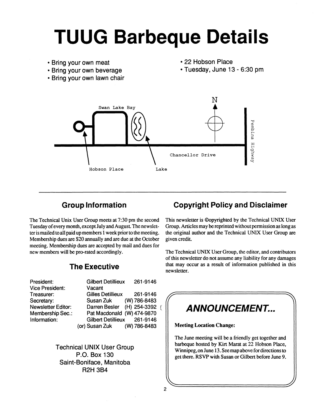# **TUUG Barbeque Details**

- **Bring your own meat**
- **Bring your own beverage**
- **Bring your own lawn chair**
- **22 Hobson Place**
- **Tuesday, June 13 6:30 pm**



### **Group Information**

The Technical Unix User Group meets at 7:30 pm the second Tuesday of every month, except July and August. The newsletter is mailed to all paid up members 1 week prior to the meeting. Membership dues are \$20 annually and are due at the October meeting. Membership dues are accepted by mail and dues for new members will be pro-rated accordingly.

### **The Executive**

| President:         | <b>Gilbert Detillieux</b>    | 261-9146 |  |
|--------------------|------------------------------|----------|--|
| Vice President:    | Vacant                       |          |  |
| Treasurer:         | <b>Gilles Detillieux</b>     | 261-9146 |  |
| Secretary:         | Susan Zuk (W) 786-8483       |          |  |
| Newsletter Editor: | Darren Besler (H) 254-3392 ( |          |  |
| Membership Sec.:   | Pat Macdonald (W) 474-9870   |          |  |
| Information:       | Gilbert Detillieux 261-9146  |          |  |
|                    | (or) Susan Zuk (W) 786-8483  |          |  |
|                    |                              |          |  |

**Technical UNIX User Group P.O. Box 130 Saint-Boniface, Manitoba R2H 3B4** 

### **Copyright Policy and Disclaimer**

This newsletter is ©opyrighted by the Technical UNIX User Group. Articles may be reprinted without permission as long as the original author and the Technical UNIX User Group are given credit.

The Technical UNIX User Group, the editor, and contributors of this newsletter do not assume any liability for any damages that may occur as a result of information published in this newsletter.

### $\begin{pmatrix} \overbrace{a} & \overbrace{a} & \overbrace{a} & \overbrace{a} & \overbrace{a} & \overbrace{a} & \overbrace{a} & \overbrace{a} & \overbrace{a} & \overbrace{a} & \overbrace{a} & \overbrace{a} & \overbrace{a} & \overbrace{a} & \overbrace{a} & \overbrace{a} & \overbrace{a} & \overbrace{a} & \overbrace{a} & \overbrace{a} & \overbrace{a} & \overbrace{a} & \overbrace{a} & \overbrace{a} & \overbrace{a} & \overbrace{a} & \overbrace{a} & \overbrace{a} & \overbrace{a} & \overbrace{a} & \overbrace{$ **ANNOUNCEMENT..**

**Meeting Location Change:** 

The June meeting will be a friendly get together and barbeque hosted by Kirt Marat at 22 Hobson Place, Winnipeg, on June 13. See map above for directions to get there. RS VP with Susan or Gilbert before June 9.

**^ j**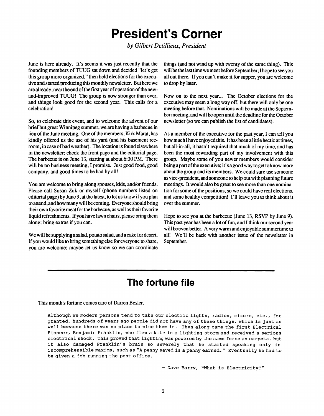# **President's Corner**

*by Gilbert Detillieux, President* 

**June is here already. It's seems it was just recently that the founding members of TUUG sat down and decided "let's get this group more organized," then held elections for the executive and started producing this monthly newsletter. But here we are already, near the end of the first year of operation of the newand-improved TUUG! The group is now stronger than ever, and things look good for the second year. This calls for a celebration!** 

**So, to celebrate this event, and to welcome the advent of our brief but great Winnipeg summer, we are having a barbecue in lieu of the June meeting. One of the members, Kirk Marat, has kindly offered us the use of his yard (and his basement recroom, in case of bad weather). The location is found elsewhere in the newsletter; check the front page and the editorial page. The barbecue is on June 13, starting at about 6:30 PM. There will be no business meeting, I promise. Just good food, good company, and good times to be had by all!** 

**You are welcome to bring along spouses, kids, and/or friends. Please call Susan Zuk or myself (phone numbers listed on editorial page) by June 9, at the latest, to let us know if you plan to attend, and how many will be coming. Everyone should bring their own favorite meat for the barbecue, as well as their favorite liquid refreshments. If you have lawn chairs, please bring them along; bring extras if you can.** 

**We will be supplying a salad, potato salad, and a cake for desert. If you would like to bring something else for everyone to share, you are welcome; maybe let us know so we can coordinate** 

**things (and not wind up with twenty of the same thing). This will be the last time we meet before September; I hope to see you all out there. If you can't make it for supper, you are welcome to drop by later.** 

**Now on to the next year... The October elections for the executive may seem a long way off, but there will only be one meeting before that. Nominations will be made at the September meeting, and will be open until the deadline for the October newsletter (so we can publish the list of candidates).** 

**As a member of the executive for the past year, I can tell you how much I have enjoyed this. It has been a little hectic at times, but all-in-all, it hasn't required that much of my time, and has been the most rewarding part of my involvement with this group. Maybe some of you newer members would consider being a part of the executive; it' s a good way to get to know more about the group and its members. We could sure use someone as vice-president, and someone to help out with planning future meetings. It would also be great to see more than one nomination for some of the positions, so we could have real elections, and some healthy competition! I'll leave you to think about it over the summer.** 

**Hope to see you at the barbecue (June 13, RSVP by June 9). This past year has been a lot of fun, and I think our second year will be even better. A very warm and enjoyable summertime to all! We'll be back with another issue of the newsletter in September.** 

## **The fortune file**

**This month's fortune comes care of Darren Besler.** 

Although we modern persons tend to take our electric lights, radios, mixers, etc., for granted, hundreds of years ago people did not have any of these things, which is just as well because there was no place to plug them in. Then along came the first Electrical Pioneer, Benjamin Franklin, who flew a kite in a lighting storm and received a serious electrical shock. This proved that lighting was powered by the same force as carpets, but it also damaged Franklin's brain so severely that he started speaking only in incomprehensible maxims, such as "A penny saved is a penny earned. " Eventually he had to be given a job running the post office.

- Dave Barry, "What is Electricity?"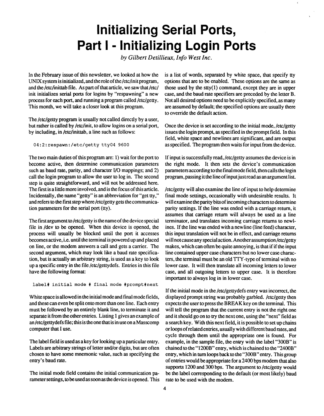# **Initializing Serial Ports, Part I - Initializing Login Ports**

*by Gilbert Detillieux, Info West Inc.* 

**In the February issue of this newsletter, we looked at how the UNIX system is initialized, and the role of the /etc/init program, and the /etc/inittab file. As part of that article, we saw that /etc/ init initializes serial ports for logins by "respawning" a new process for each port, and running a program called /etc/getty. This month, we will take a closer look at this program.** 

**The /etc/getty program is usually not called directly by a user, but rather is called by /etc/init, to allow logins on a serial port, by including, in /etc/inittab, a line such as follows:** 

04:2:respawn:/etc/getty tty04 9600

**The two main duties of this program are: 1) wait for the port to become active, then determine communication parameters such as baud rate, parity, and character I/O mappings; and 2) call the login program to allow the user to log in. The second step is quite straightforward, and will not be addressed here. The first is a little more involved, and is the focus of this article. Incidentally, the name "getty" is an abbreviation for "get tty," and refers to the first step where /etc/getty gets the communication parameters for the serial port (tty).** 

**The first argument to /etc/getty is the name of the device special file in /dev to be opened. When this device is opened, the process will usually be blocked until the port it accesses becomes active, i.e. until the terminal is powered up and placed on line, or the modem answers a call and gets a carrier. The second argument, which may look like a baud rate specification, but is actually an arbitrary string, is used as a key to look up a specific entry in the file /etc/gettydefs. Entries in this file have the following format:** 

label# initial mode # final mode #prompt#next

**White space is allowed in the initial mode and final mode fields, and these can even be split onto more than one line. Each entry must be followed by an entirely blank line, to terminate it and separate it from the other entries. Listing 1 gives an example of an /etc/gettydefs file; this is the one that is in use on a Masscomp computer that I use.** 

**The label field is used as a key for looking up a particular entry. Labels are arbitrary strings of letter and/or digits, but are often chosen to have some mnemonic value, such as specifying the entry's baud rate.** 

**The initial mode field contains the initial communication parameter settings, to be used as soon as the device is opened. This**  **is a list of words, separated by white space, that specify tty options that are to be enabled. These options are the same as those used by the stty(l) command, except they are in upper case, and the baud rate specifiers are preceded by the letter B. Not all desired options need to be explicitly specified, as many are assumed by default; the specified options are usually there to override the default action.** 

**Once the device is set according to the initial mode, /etc/getty issues the login prompt, as specified in the prompt field. In this field, white space and newlines are significant, and are output as specified. The program then waits for input from the device.** 

**If input is successfully read, /etc/getty assumes the device is in the right mode. It then sets the device's communication parameters according to the final mode field, then calls the login program, passing it the line of input jus t read as an argument list.** 

**/etc/getty will also examine the line of input to help determine final mode settings, occasionally with undesirable results. It will examine the parity bits of incoming characters to determine parity settings. If the line was ended with a carriage return, it assumes that carriage return will always be used as a line terminator, and translates incoming carriage returns to newlines. If the line was ended with a newline (line feed) character, this input translation will not be in effect, and carriage returns will not cause any special action. Another assumption /etc/getty makes, which can often be quite annoying, is that if if the input line contained upper case characters but no lower case characters, the terminal must be an old TTY-type of terminal with no lower case. It will then translate all incoming letters to lower case, and all outgoing letters to upper case. It is therefore important to always log in in lower case.** 

**If the initial mode in the /etc/gettydefs entry was incorrect, the displayed prompt string was probably garbled, /etc/getty then expects the user to press the BREAK key on the terminal. This will tell the program that the current entry is not the right one and it should go on to try the next one, using the "next" field as a search key. With this next field, it is possible to set up chains or loops of related entries, usually with different baud rates, and cycle through them until the appropriate one is found. For example, in the sample file, the entry with the label "300B" is chained to the "1200B" entry, which is chained to the "2400B" entry, which in turn loops back to the "300B" entry. This group of entries would be appropriate for a 2400 bps modem that also supports 1200 and 300 bps. The argument to /etc/getty would be the label corresponding to the default (or most likely) baud rate to be used with the modem.**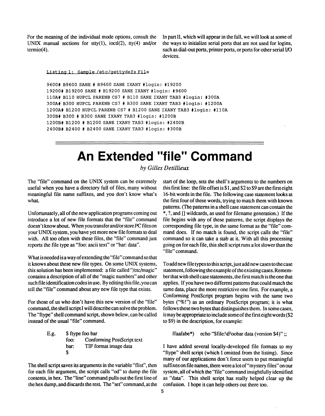**For the meaning of the individual mode options, consult the UNIX manual sections for stty(l), ioctl(2), tty(4) and/or termio(4).** 

**In part II, which will appear in the fall, we will look at some of the ways to initialize serial ports that are not used for logins, such as dial-out ports, printer ports, or ports for other serial I/O devices.** 

Listing 1: Sample /etc/aettvdefs File

9600# B9600 SANE # B9600 SANE IXANY #login: #19200 19200# B19200 SANE # B19200 SANE IXANY #login: #9600 110A# B110 HUPCL PARENB CS7 # B110 SANE IXANY TAB3 #login: #300A 300A# B300 HUPCL PARENB CS7 # B300 SANE IXANY TAB3 #login: #1200A 1200A# B1200 HUPCL PARENB CS7 # B1200 SANE IXANY TAB3 #login: #110A 300B# B300 # B300 SANE IXANY TAB3 #login: #1200B 1200B# B1200 # B1200 SANE IXANY TAB3 #login: #2400B 2400B# B2400 # B2400 SANE IXANY TAB3 #login: #300B

# **An Extended "file" Command**

*by Gilles Detillieux* 

**The "file" command on the UNIX system can be extremely useful when you have a directory full of files, many without meaningful file name suffixes, and you don't know what's**  what.

**Unfortunately, all of the new application programs coming out introduce a lot of new file formats that the "file" command doesn' t know about. When you transfer and/or store PC files on your UNIX system, you have yet more new file formats to deal with. All too often with these files, the "file" command just reports the file type as "foo: ascii text" or "bar: data".** 

**What is needed is a way of extending the "file" command so that it knows about these new file types. On some UNIX systems, this solution has been implemented: a file called "/etc/magic" contains a description of all of the "magic numbers" and other such file identification codes in use. By editing this file, you can tell the "file" command about any new file type that exists.** 

**For those of us who don't have this new version of the "file" command, the shell script I will describe can solve the problem. The "ftype" shell command script, shown below, can be called instead of the usual "file" command.** 

> **E.g. \$ ftype foo bar foo: Conforming PostScript text bar: TIF format image data \$**

**The shell script saves its arguments in the variable "flist", then for each file argument, the script calls "od" to dump the file contents, in hex. The "line" command pulls out the first line of**  the hex dump, and discards the rest. The "set" command, at the **start of the loop, sets the shell's arguments to the numbers on this first line: the file offset is \$ 1, and \$2 to \$9 are the first eight 16-bit words in the file. The following case statement looks at the first four of these words, trying to match them with known patterns. (The patterns in a shell case statement can contain the \*, ?, and [] wildcards, as used for filename generation.) If the file begins with any of these patterns, the script displays the corresponding file type, in the same format as the "file" command does. If no match is found, the script calls the "file" command so it can take a stab at it. With all this processing going on for each file, this shell script runs a lot slower than the "file" command.** 

To add new file types to this script, just add new cases to the case **statement, following the example of the existing cases. Remember that with shell case statements, the first match is the one that applies. If you have two different patterns that could match the same data, place the more restrictive one first. For example, a Conforming PostScript program begins with the same two bytes ("%!") as an ordinary PostScript program; it is what follows these two bytes that distinguishes them. In some cases, it may be appropriate to include some of the first eight words (\$2 to \$9) in the description, for example:** 

**ffaafabe\*) echo "\$file:\tFoobar data (version \$4)";;** 

**I have added several locally-developed file formats to my "ftype" shell script (which I omitted from the listing). Since many of our applications don't force users to put meaningful suffixes on file names, there were a lot of "mystery files" on our system, all of which the "file" command insightfully identified as "data". This shell script has really helped clear up the confusion. I hope it can help others out there too.**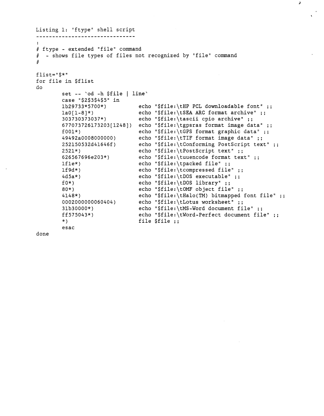```
Listing 1: "ftype" shell script 
----------------------------------
# ftype - extended "file" command 
# - shows file types of files not recognized by "file" command 
#\mathtt{flist}="\mathtt{\$*}"
for file in $flist
do 
        set -- 'od -h $file | line'
        case "$2$3$4$5" in 
        lb29733*5700*) 
                                 echo "$file:\tHP PCL downloadable font"
                                 echo "$file:\tSEA ARC format archive" ;;
        1a0[1-8]*)
        303730373037*) 
                                 echo "$file:\tascii cpio archive" ;;
        677073726173203[1248]) echo "$file:\tgpsras format image data"
        f001*echo "$file:\tGPS format graphic data" ;;
        49492a0008000000) 
                                 echo "$file:\tTIF format image data" ;;
        252150532d41646f) 
                                 \tConforming PostScript text"
                                 echo "$file:\tPostScript text" ;;
        2521*) 
        626567696e203*) 
                                 echo "$file:\tuuencode format text" ;;
        lfle*) 
                                 echo "$file:\tpacked file" ;;
        lf9d*) 
                                 echo "$file:\tcompressed file" ;;
        4d5a*) 
                                 echo "$file:\tDOS executable" ;;
                                 echo "$file:\tDOS library" ;;
        f(0*)80*) 
                                 echo "$file:\tOMF object file" ;;
                                 echo "$file:\tHalo(TM) bitmapped font file"
        4148*) 
                                 echo "$file:\tLotus worksheet" ;;
        0002000000060404) 
        31b30000*) 
                                 echo "$file:\tMS-Word document file" ;;
                                 echo "$file:\tWord-Perfect document file"
        ff575043*) 
        *) 
                                 file 
$file 
        esac 
done
```
 $\lambda$